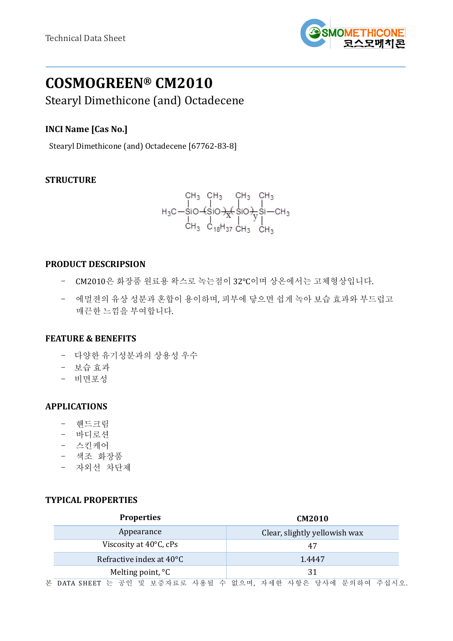

# **COSMOGREEN® CM2010**

Stearyl Dimethicone (and) Octadecene

# **INCI Name [Cas No.]**

Stearyl Dimethicone (and) Octadecene [67762-83-8]

# **STRUCTURE**

CH<sub>3</sub> CH<sub>3</sub> CH<sub>3</sub> CH<sub>3</sub>  
\nH<sub>3</sub>C-SiO-(SiO)
$$
\frac{1}{X}
$$
(SiO) $\frac{1}{Y}$ Si—CH<sub>3</sub>  
\nCH<sub>3</sub> C<sub>18</sub>H<sub>37</sub> CH<sub>3</sub> CH<sub>3</sub>

## **PRODUCT DESCRIPSION**

- CM2010은 화장품 원료용 왁스로 녹는점이 32°C이며 상온에서는 고체형상입니다.
- 에멀젼의 유상 성분과 혼합이 용이하며, 피부에 닿으면 쉽게 녹아 보습 효과와 부드럽고 매끈한 느낌을 부여합니다.

# **FEATURE & BENEFITS**

- 다양한 유기성분과의 상용성 우수
- 보습 효과
- 비면포성

#### **APPLICATIONS**

- 핸드크림
- 바디로션
- 스킨케어
- 색조 화장품
- 자외선 차단제

## **TYPICAL PROPERTIES**

| <b>Properties</b>        |                   | <b>CM2010</b>                 |  |
|--------------------------|-------------------|-------------------------------|--|
| Appearance               |                   | Clear, slightly yellowish wax |  |
| Viscosity at 40°C, cPs   |                   | 47                            |  |
| Refractive index at 40°C |                   | 1.4447                        |  |
|                          | Melting point, °C | 31                            |  |

본 DATA SHEET 는 공인 및 보증자료로 사용될 수 없으며, 자세한 사항은 당사에 문의하여 주십시오.